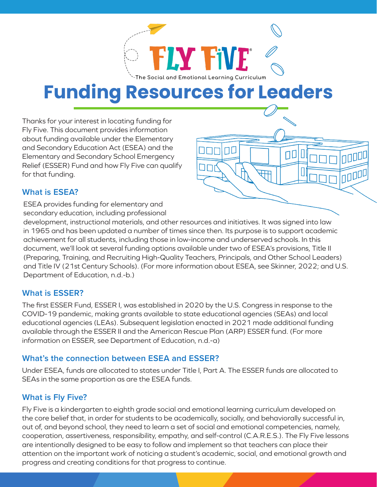

# **Funding Resources for Leaders**

Thanks for your interest in locating funding for Fly Five. This document provides information about funding available under the Elementary and Secondary Education Act (ESEA) and the Elementary and Secondary School Emergency Relief (ESSER) Fund and how Fly Five can qualify for that funding.



#### **What is ESEA?**

ESEA provides funding for elementary and secondary education, including professional

development, instructional materials, and other resources and initiatives. It was signed into law in 1965 and has been updated a number of times since then. Its purpose is to support academic achievement for all students, including those in low-income and underserved schools. In this document, we'll look at several funding options available under two of ESEA's provisions, Title II (Preparing, Training, and Recruiting High-Quality Teachers, Principals, and Other School Leaders) and Title IV (21st Century Schools). (For more information about ESEA, see Skinner, 2022; and U.S. Department of Education, n.d.-b.)

#### **What is ESSER?**

The first ESSER Fund, ESSER I, was established in 2020 by the U.S. Congress in response to the COVID-19 pandemic, making grants available to state educational agencies (SEAs) and local educational agencies (LEAs). Subsequent legislation enacted in 2021 made additional funding available through the ESSER II and the American Rescue Plan (ARP) ESSER fund. (For more information on ESSER, see Department of Education, n.d.-a)

#### **What's the connection between ESEA and ESSER?**

Under ESEA, funds are allocated to states under Title I, Part A. The ESSER funds are allocated to SEAs in the same proportion as are the ESEA funds.

#### **What is Fly Five?**

Fly Five is a kindergarten to eighth grade social and emotional learning curriculum developed on the core belief that, in order for students to be academically, socially, and behaviorally successful in, out of, and beyond school, they need to learn a set of social and emotional competencies, namely, cooperation, assertiveness, responsibility, empathy, and self-control (C.A.R.E.S.). The Fly Five lessons are intentionally designed to be easy to follow and implement so that teachers can place their attention on the important work of noticing a student's academic, social, and emotional growth and progress and creating conditions for that progress to continue.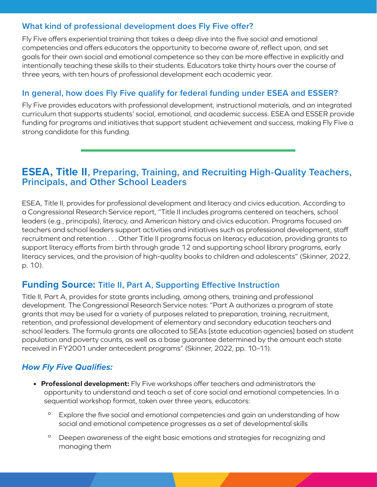#### **What kind of professional development does Fly Five offer?**

Fly Five offers experiential training that takes a deep dive into the five social and emotional competencies and offers educators the opportunity to become aware of, reflect upon, and set goals for their own social and emotional competence so they can be more effective in explicitly and intentionally teaching these skills to their students. Educators take thirty hours over the course of three years, with ten hours of professional development each academic year.

#### **In general, how does Fly Five qualify for federal funding under ESEA and ESSER?**

Fly Five provides educators with professional development, instructional materials, and an integrated curriculum that supports students' social, emotional, and academic success. ESEA and ESSER provide funding for programs and initiatives that support student achievement and success, making Fly Five a strong candidate for this funding.

### **ESEA, Title II, Preparing, Training, and Recruiting High-Quality Teachers, Principals, and Other School Leaders**

ESEA, Title II, provides for professional development and literacy and civics education. According to a Congressional Research Service report, "Title II includes programs centered on teachers, school leaders (e.g., principals), literacy, and American history and civics education. Programs focused on teachers and school leaders support activities and initiatives such as professional development, staff recruitment and retention . . . Other Title II programs focus on literacy education, providing grants to support literacy efforts from birth through grade 12 and supporting school library programs, early literacy services, and the provision of high-quality books to children and adolescents" (Skinner, 2022, p. 10).

#### **Funding Source: Title II, Part A, Supporting Effective Instruction**

Title II, Part A, provides for state grants including, among others, training and professional development. The Congressional Research Service notes: "Part A authorizes a program of state grants that may be used for a variety of purposes related to preparation, training, recruitment, retention, and professional development of elementary and secondary education teachers and school leaders. The formula grants are allocated to SEAs [state education agencies] based on student population and poverty counts, as well as a base guarantee determined by the amount each state received in FY2001 under antecedent programs" (Skinner, 2022, pp. 10–11).

#### *How Fly Five Qualifies:*

- **• Professional development:** Fly Five workshops offer teachers and administrators the opportunity to understand and teach a set of core social and emotional competencies. In a sequential workshop format, taken over three years, educators:
	- <sup>o</sup> Explore the five social and emotional competencies and gain an understanding of how social and emotional competence progresses as a set of developmental skills
	- º Deepen awareness of the eight basic emotions and strategies for recognizing and managing them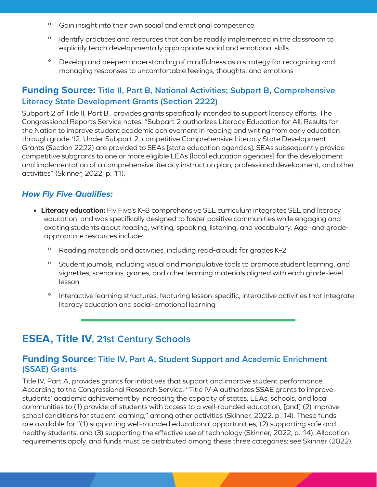- º Gain insight into their own social and emotional competence
- <sup>o</sup> Identify practices and resources that can be readily implemented in the classroom to explicitly teach developmentally appropriate social and emotional skills
- º Develop and deepen understanding of mindfulness as a strategy for recognizing and managing responses to uncomfortable feelings, thoughts, and emotions

#### **Funding Source: Title II, Part B, National Activities; Subpart B, Comprehensive Literacy State Development Grants (Section 2222)**

Subpart 2 of Title II, Part B, provides grants specifically intended to support literacy efforts. The Congressional Reports Service notes: "Subpart 2 authorizes Literacy Education for All, Results for the Nation to improve student academic achievement in reading and writing from early education through grade 12. Under Subpart 2, competitive Comprehensive Literacy State Development Grants (Section 2222) are provided to SEAs [state education agencies]. SEAs subsequently provide competitive subgrants to one or more eligible LEAs [local education agencies] for the development and implementation of a comprehensive literacy instruction plan, professional development, and other activities" (Skinner, 2022, p. 11).

#### *How Fly Five Qualifies:*

- **• Literacy education:** Fly Five's K–8 comprehensive SEL curriculum integrates SEL and literacy education and was specifically designed to foster positive communities while engaging and exciting students about reading, writing, speaking, listening, and vocabulary. Age- and gradeappropriate resources include:
	- º Reading materials and activities, including read-alouds for grades K–2
	- <sup>o</sup> Student journals, including visual and manipulative tools to promote student learning, and vignettes, scenarios, games, and other learning materials aligned with each grade-level lesson
	- <sup>o</sup> Interactive learning structures, featuring lesson-specific, interactive activities that integrate literacy education and social-emotional learning

## **ESEA, Title IV, 21st Century Schools**

#### **Funding Source: Title IV, Part A, Student Support and Academic Enrichment (SSAE) Grants**

Title IV, Part A, provides grants for initiatives that support and improve student performance. According to the Congressional Research Service, "Title IV-A authorizes SSAE grants to improve students' academic achievement by increasing the capacity of states, LEAs, schools, and local communities to (1) provide all students with access to a well-rounded education, [and] (2) improve school conditions for student learning," among other activities (Skinner, 2022, p. 14). These funds are available for "(1) supporting well-rounded educational opportunities, (2) supporting safe and healthy students, and (3) supporting the effective use of technology (Skinner, 2022, p. 14). Allocation requirements apply, and funds must be distributed among these three categories; see Skinner (2022).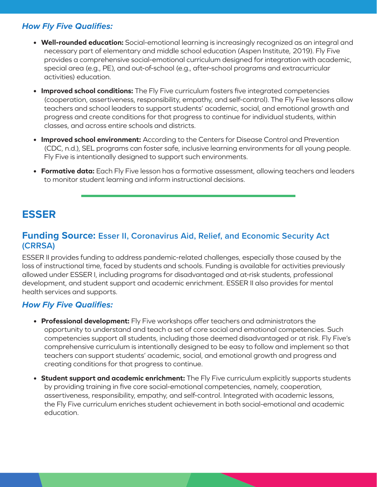#### *How Fly Five Qualifies:*

- **• Well-rounded education:** Social-emotional learning is increasingly recognized as an integral and necessary part of elementary and middle school education (Aspen Institute, 2019). Fly Five provides a comprehensive social-emotional curriculum designed for integration with academic, special area (e.g., PE), and out-of-school (e.g., after-school programs and extracurricular activities) education.
- **• Improved school conditions:** The Fly Five curriculum fosters five integrated competencies (cooperation, assertiveness, responsibility, empathy, and self-control). The Fly Five lessons allow teachers and school leaders to support students' academic, social, and emotional growth and progress and create conditions for that progress to continue for individual students, within classes, and across entire schools and districts.
- **• Improved school environment:** According to the Centers for Disease Control and Prevention (CDC, n.d.), SEL programs can foster safe, inclusive learning environments for all young people. Fly Five is intentionally designed to support such environments.
- **• Formative data:** Each Fly Five lesson has a formative assessment, allowing teachers and leaders to monitor student learning and inform instructional decisions.

## **ESSER**

#### **Funding Source: Esser II, Coronavirus Aid, Relief, and Economic Security Act (CRRSA)**

ESSER II provides funding to address pandemic-related challenges, especially those caused by the loss of instructional time, faced by students and schools. Funding is available for activities previously allowed under ESSER I, including programs for disadvantaged and at-risk students, professional development, and student support and academic enrichment. ESSER II also provides for mental health services and supports.

#### *How Fly Five Qualifies:*

- **• Professional development:** Fly Five workshops offer teachers and administrators the opportunity to understand and teach a set of core social and emotional competencies. Such competencies support all students, including those deemed disadvantaged or at risk. Fly Five's comprehensive curriculum is intentionally designed to be easy to follow and implement so that teachers can support students' academic, social, and emotional growth and progress and creating conditions for that progress to continue.
- **• Student support and academic enrichment:** The Fly Five curriculum explicitly supports students by providing training in five core social-emotional competencies, namely, cooperation, assertiveness, responsibility, empathy, and self-control. Integrated with academic lessons, the Fly Five curriculum enriches student achievement in both social-emotional and academic education.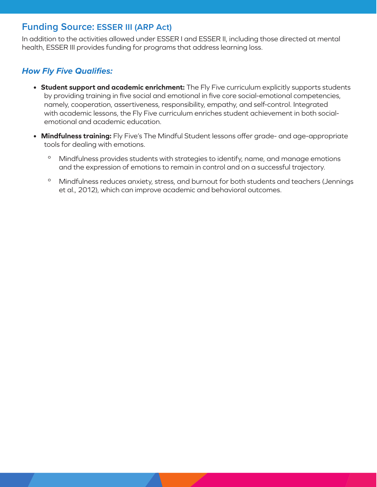#### **Funding Source: ESSER III (ARP Act)**

In addition to the activities allowed under ESSER I and ESSER II, including those directed at mental health, ESSER III provides funding for programs that address learning loss.

#### *How Fly Five Qualifies:*

- **• Student support and academic enrichment:** The Fly Five curriculum explicitly supports students by providing training in five social and emotional in five core social-emotional competencies, namely, cooperation, assertiveness, responsibility, empathy, and self-control. Integrated with academic lessons, the Fly Five curriculum enriches student achievement in both socialemotional and academic education.
- **• Mindfulness training:** Fly Five's The Mindful Student lessons offer grade- and age-appropriate tools for dealing with emotions.
	- º Mindfulness provides students with strategies to identify, name, and manage emotions and the expression of emotions to remain in control and on a successful trajectory.
	- º Mindfulness reduces anxiety, stress, and burnout for both students and teachers (Jennings et al., 2012), which can improve academic and behavioral outcomes.